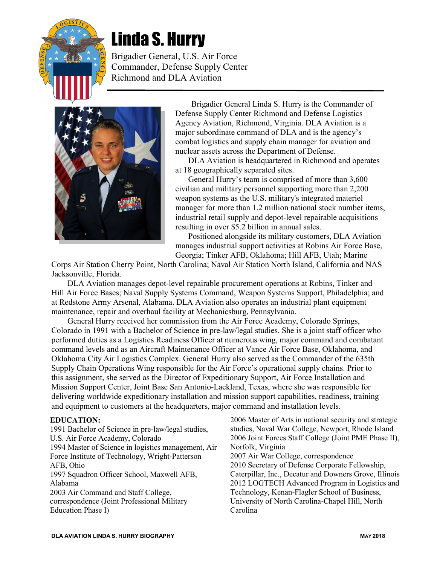

# Linda S. Hurry

Brigadier General, U.S. Air Force Commander, Defense Supply Center Richmond and DLA Aviation



Brigadier General Linda S. Hurry is the Commander of Defense Supply Center Richmond and Defense Logistics Agency Aviation, Richmond, Virginia. DLA Aviation is a major subordinate command of DLA and is the agency's combat logistics and supply chain manager for aviation and nuclear assets across the Department of Defense.

DLA Aviation is headquartered in Richmond and operates at 18 geographically separated sites.

General Hurry's team is comprised of more than 3,600 civilian and military personnel supporting more than 2,200 weapon systems as the U.S. military's integrated materiel manager for more than 1.2 million national stock number items, industrial retail supply and depot-level repairable acquisitions resulting in over \$5.2 billion in annual sales.

Positioned alongside its military customers, DLA Aviation manages industrial support activities at Robins Air Force Base, Georgia; Tinker AFB, Oklahoma; Hill AFB, Utah; Marine

Corps Air Station Cherry Point, North Carolina; Naval Air Station North Island, California and NAS Jacksonville, Florida.

DLA Aviation manages depot-level repairable procurement operations at Robins, Tinker and Hill Air Force Bases; Naval Supply Systems Command, Weapon Systems Support, Philadelphia; and at Redstone Army Arsenal, Alabama. DLA Aviation also operates an industrial plant equipment maintenance, repair and overhaul facility at Mechanicsburg, Pennsylvania.

General Hurry received her commission from the Air Force Academy, Colorado Springs, Colorado in 1991 with a Bachelor of Science in pre-law/legal studies. She is a joint staff officer who performed duties as a Logistics Readiness Officer at numerous wing, major command and combatant command levels and as an Aircraft Maintenance Officer at Vance Air Force Base, Oklahoma, and Oklahoma City Air Logistics Complex. General Hurry also served as the Commander of the 635th Supply Chain Operations Wing responsible for the Air Force's operational supply chains. Prior to this assignment, she served as the Director of Expeditionary Support, Air Force Installation and Mission Support Center, Joint Base San Antonio-Lackland, Texas, where she was responsible for delivering worldwide expeditionary installation and mission support capabilities, readiness, training and equipment to customers at the headquarters, major command and installation levels.

#### EDUCATION:

1991 Bachelor of Science in pre-law/legal studies, U.S. Air Force Academy, Colorado 1994 Master of Science in logistics management, Air Force Institute of Technology, Wright-Patterson AFB, Ohio 1997 Squadron Officer School, Maxwell AFB, Alabama 2003 Air Command and Staff College, correspondence (Joint Professional Military Education Phase I)

2006 Master of Arts in national security and strategic studies, Naval War College, Newport, Rhode Island 2006 Joint Forces Staff College (Joint PME Phase II), Norfolk, Virginia 2007 Air War College, correspondence 2010 Secretary of Defense Corporate Fellowship, Caterpillar, Inc., Decatur and Downers Grove, Illinois 2012 LOGTECH Advanced Program in Logistics and Technology, Kenan-Flagler School of Business, University of North Carolina-Chapel Hill, North Carolina